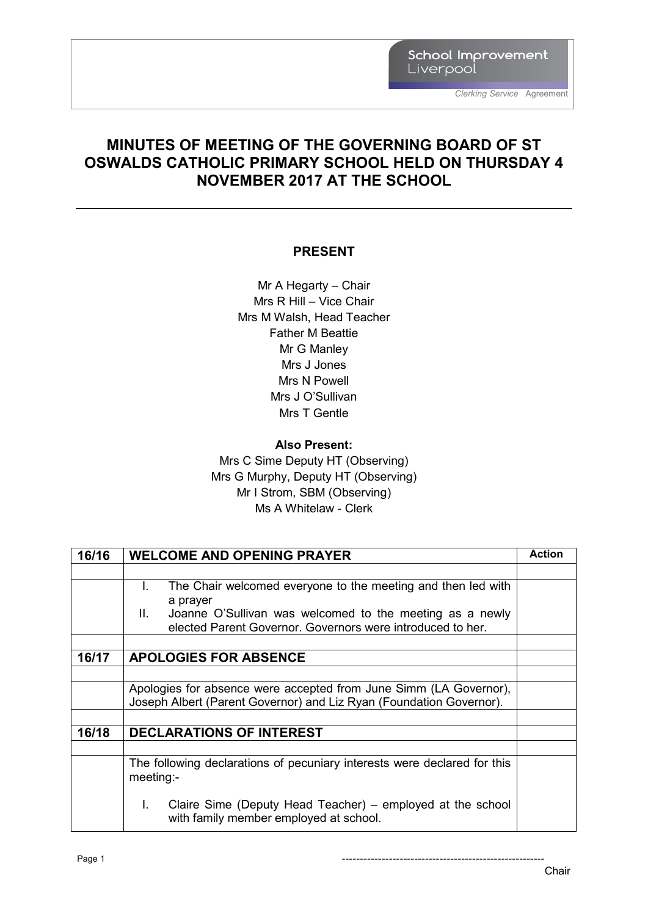School Improvement Liverpool

#### **MINUTES OF MEETING OF THE GOVERNING BOARD OF ST OSWALDS CATHOLIC PRIMARY SCHOOL HELD ON THURSDAY 4 NOVEMBER 2017 AT THE SCHOOL**

#### **PRESENT**

Mr A Hegarty – Chair Mrs R Hill – Vice Chair Mrs M Walsh, Head Teacher Father M Beattie Mr G Manley Mrs J Jones Mrs N Powell Mrs J O'Sullivan Mrs T Gentle

#### **Also Present:**

Mrs C Sime Deputy HT (Observing) Mrs G Murphy, Deputy HT (Observing) Mr I Strom, SBM (Observing) Ms A Whitelaw - Clerk

| 16/16 | <b>WELCOME AND OPENING PRAYER</b>                                                                          | <b>Action</b> |
|-------|------------------------------------------------------------------------------------------------------------|---------------|
|       |                                                                                                            |               |
|       | The Chair welcomed everyone to the meeting and then led with<br>L.                                         |               |
|       | a prayer                                                                                                   |               |
|       | II.<br>Joanne O'Sullivan was welcomed to the meeting as a newly                                            |               |
|       | elected Parent Governor, Governors were introduced to her.                                                 |               |
|       |                                                                                                            |               |
| 16/17 | <b>APOLOGIES FOR ABSENCE</b>                                                                               |               |
|       |                                                                                                            |               |
|       | Apologies for absence were accepted from June Simm (LA Governor),                                          |               |
|       | Joseph Albert (Parent Governor) and Liz Ryan (Foundation Governor).                                        |               |
|       |                                                                                                            |               |
| 16/18 | <b>DECLARATIONS OF INTEREST</b>                                                                            |               |
|       |                                                                                                            |               |
|       | The following declarations of pecuniary interests were declared for this                                   |               |
|       | meeting:                                                                                                   |               |
|       |                                                                                                            |               |
|       | Claire Sime (Deputy Head Teacher) – employed at the school<br>L.<br>with family member employed at school. |               |

Page 1 --------------------------------------------------------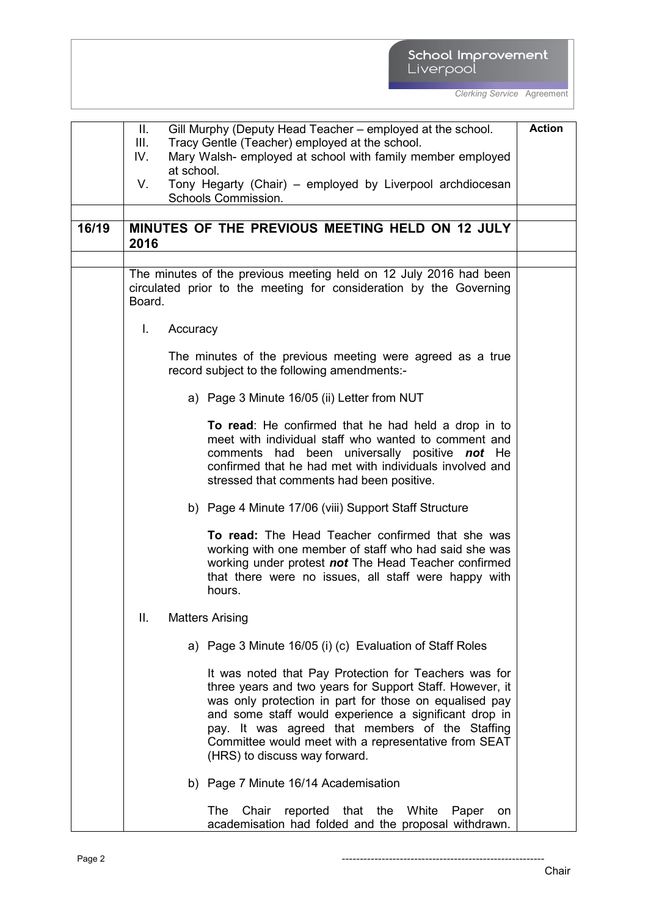# School Improvement<br>Liverpool

|       | Ш.        | Gill Murphy (Deputy Head Teacher – employed at the school.                                                                                                                                                                                                                                                                                                                       | <b>Action</b> |
|-------|-----------|----------------------------------------------------------------------------------------------------------------------------------------------------------------------------------------------------------------------------------------------------------------------------------------------------------------------------------------------------------------------------------|---------------|
|       | Ш.<br>IV. | Tracy Gentle (Teacher) employed at the school.<br>Mary Walsh- employed at school with family member employed                                                                                                                                                                                                                                                                     |               |
|       |           | at school.                                                                                                                                                                                                                                                                                                                                                                       |               |
|       | V.        | Tony Hegarty (Chair) - employed by Liverpool archdiocesan                                                                                                                                                                                                                                                                                                                        |               |
|       |           | Schools Commission.                                                                                                                                                                                                                                                                                                                                                              |               |
| 16/19 |           | MINUTES OF THE PREVIOUS MEETING HELD ON 12 JULY                                                                                                                                                                                                                                                                                                                                  |               |
|       | 2016      |                                                                                                                                                                                                                                                                                                                                                                                  |               |
|       |           |                                                                                                                                                                                                                                                                                                                                                                                  |               |
|       | Board.    | The minutes of the previous meeting held on 12 July 2016 had been<br>circulated prior to the meeting for consideration by the Governing                                                                                                                                                                                                                                          |               |
|       | L.        | Accuracy                                                                                                                                                                                                                                                                                                                                                                         |               |
|       |           | The minutes of the previous meeting were agreed as a true<br>record subject to the following amendments:-                                                                                                                                                                                                                                                                        |               |
|       |           | a) Page 3 Minute 16/05 (ii) Letter from NUT                                                                                                                                                                                                                                                                                                                                      |               |
|       |           | To read: He confirmed that he had held a drop in to<br>meet with individual staff who wanted to comment and<br>comments had been universally positive not He<br>confirmed that he had met with individuals involved and<br>stressed that comments had been positive.                                                                                                             |               |
|       |           | b) Page 4 Minute 17/06 (viii) Support Staff Structure                                                                                                                                                                                                                                                                                                                            |               |
|       |           | To read: The Head Teacher confirmed that she was<br>working with one member of staff who had said she was<br>working under protest not The Head Teacher confirmed<br>that there were no issues, all staff were happy with<br>hours.                                                                                                                                              |               |
|       | Ш.        | <b>Matters Arising</b>                                                                                                                                                                                                                                                                                                                                                           |               |
|       |           | a) Page 3 Minute 16/05 (i) (c) Evaluation of Staff Roles                                                                                                                                                                                                                                                                                                                         |               |
|       |           | It was noted that Pay Protection for Teachers was for<br>three years and two years for Support Staff. However, it<br>was only protection in part for those on equalised pay<br>and some staff would experience a significant drop in<br>pay. It was agreed that members of the Staffing<br>Committee would meet with a representative from SEAT<br>(HRS) to discuss way forward. |               |
|       |           | b) Page 7 Minute 16/14 Academisation                                                                                                                                                                                                                                                                                                                                             |               |
|       |           | The<br>Chair<br>reported that the White<br>Paper<br>on<br>academisation had folded and the proposal withdrawn.                                                                                                                                                                                                                                                                   |               |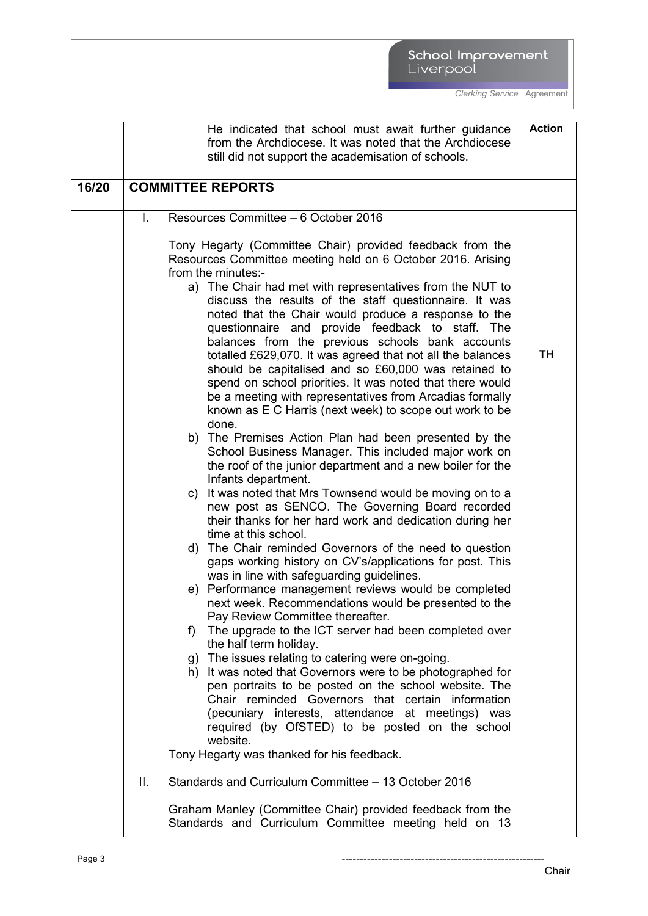# School Improvement<br>Liverpool

|       |    | He indicated that school must await further guidance                                                                                                                                                                                                                                                                                                                                                                                                                                                                                                                                                                                                                                                                                                                                                                                                                                                                                                                                                                                                                                                                                                                                                                                                                                                                                                                                                                                                                                                                                                                                                                                                                                                                                                                                                                                                                                                                                                                                   | <b>Action</b> |
|-------|----|----------------------------------------------------------------------------------------------------------------------------------------------------------------------------------------------------------------------------------------------------------------------------------------------------------------------------------------------------------------------------------------------------------------------------------------------------------------------------------------------------------------------------------------------------------------------------------------------------------------------------------------------------------------------------------------------------------------------------------------------------------------------------------------------------------------------------------------------------------------------------------------------------------------------------------------------------------------------------------------------------------------------------------------------------------------------------------------------------------------------------------------------------------------------------------------------------------------------------------------------------------------------------------------------------------------------------------------------------------------------------------------------------------------------------------------------------------------------------------------------------------------------------------------------------------------------------------------------------------------------------------------------------------------------------------------------------------------------------------------------------------------------------------------------------------------------------------------------------------------------------------------------------------------------------------------------------------------------------------------|---------------|
|       |    | from the Archdiocese. It was noted that the Archdiocese                                                                                                                                                                                                                                                                                                                                                                                                                                                                                                                                                                                                                                                                                                                                                                                                                                                                                                                                                                                                                                                                                                                                                                                                                                                                                                                                                                                                                                                                                                                                                                                                                                                                                                                                                                                                                                                                                                                                |               |
|       |    | still did not support the academisation of schools.                                                                                                                                                                                                                                                                                                                                                                                                                                                                                                                                                                                                                                                                                                                                                                                                                                                                                                                                                                                                                                                                                                                                                                                                                                                                                                                                                                                                                                                                                                                                                                                                                                                                                                                                                                                                                                                                                                                                    |               |
|       |    |                                                                                                                                                                                                                                                                                                                                                                                                                                                                                                                                                                                                                                                                                                                                                                                                                                                                                                                                                                                                                                                                                                                                                                                                                                                                                                                                                                                                                                                                                                                                                                                                                                                                                                                                                                                                                                                                                                                                                                                        |               |
| 16/20 |    | <b>COMMITTEE REPORTS</b>                                                                                                                                                                                                                                                                                                                                                                                                                                                                                                                                                                                                                                                                                                                                                                                                                                                                                                                                                                                                                                                                                                                                                                                                                                                                                                                                                                                                                                                                                                                                                                                                                                                                                                                                                                                                                                                                                                                                                               |               |
|       |    |                                                                                                                                                                                                                                                                                                                                                                                                                                                                                                                                                                                                                                                                                                                                                                                                                                                                                                                                                                                                                                                                                                                                                                                                                                                                                                                                                                                                                                                                                                                                                                                                                                                                                                                                                                                                                                                                                                                                                                                        |               |
|       |    |                                                                                                                                                                                                                                                                                                                                                                                                                                                                                                                                                                                                                                                                                                                                                                                                                                                                                                                                                                                                                                                                                                                                                                                                                                                                                                                                                                                                                                                                                                                                                                                                                                                                                                                                                                                                                                                                                                                                                                                        |               |
|       | I. | Resources Committee - 6 October 2016<br>Tony Hegarty (Committee Chair) provided feedback from the<br>Resources Committee meeting held on 6 October 2016. Arising<br>from the minutes:-<br>a) The Chair had met with representatives from the NUT to<br>discuss the results of the staff questionnaire. It was<br>noted that the Chair would produce a response to the<br>questionnaire and provide feedback to staff. The<br>balances from the previous schools bank accounts<br>totalled £629,070. It was agreed that not all the balances<br>should be capitalised and so £60,000 was retained to<br>spend on school priorities. It was noted that there would<br>be a meeting with representatives from Arcadias formally<br>known as E C Harris (next week) to scope out work to be<br>done.<br>b) The Premises Action Plan had been presented by the<br>School Business Manager. This included major work on<br>the roof of the junior department and a new boiler for the<br>Infants department.<br>It was noted that Mrs Townsend would be moving on to a<br>C)<br>new post as SENCO. The Governing Board recorded<br>their thanks for her hard work and dedication during her<br>time at this school.<br>d) The Chair reminded Governors of the need to question<br>gaps working history on CV's/applications for post. This<br>was in line with safeguarding guidelines.<br>e) Performance management reviews would be completed<br>next week. Recommendations would be presented to the<br>Pay Review Committee thereafter.<br>The upgrade to the ICT server had been completed over<br>f)<br>the half term holiday.<br>The issues relating to catering were on-going.<br>g)<br>h) It was noted that Governors were to be photographed for<br>pen portraits to be posted on the school website. The<br>Chair reminded Governors that certain information<br>(pecuniary interests, attendance at meetings) was<br>required (by OfSTED) to be posted on the school<br>website. | TН            |
|       |    | Tony Hegarty was thanked for his feedback.                                                                                                                                                                                                                                                                                                                                                                                                                                                                                                                                                                                                                                                                                                                                                                                                                                                                                                                                                                                                                                                                                                                                                                                                                                                                                                                                                                                                                                                                                                                                                                                                                                                                                                                                                                                                                                                                                                                                             |               |
|       |    |                                                                                                                                                                                                                                                                                                                                                                                                                                                                                                                                                                                                                                                                                                                                                                                                                                                                                                                                                                                                                                                                                                                                                                                                                                                                                                                                                                                                                                                                                                                                                                                                                                                                                                                                                                                                                                                                                                                                                                                        |               |
|       | Ш. | Standards and Curriculum Committee - 13 October 2016                                                                                                                                                                                                                                                                                                                                                                                                                                                                                                                                                                                                                                                                                                                                                                                                                                                                                                                                                                                                                                                                                                                                                                                                                                                                                                                                                                                                                                                                                                                                                                                                                                                                                                                                                                                                                                                                                                                                   |               |
|       |    | Graham Manley (Committee Chair) provided feedback from the<br>Standards and Curriculum Committee meeting held on 13                                                                                                                                                                                                                                                                                                                                                                                                                                                                                                                                                                                                                                                                                                                                                                                                                                                                                                                                                                                                                                                                                                                                                                                                                                                                                                                                                                                                                                                                                                                                                                                                                                                                                                                                                                                                                                                                    |               |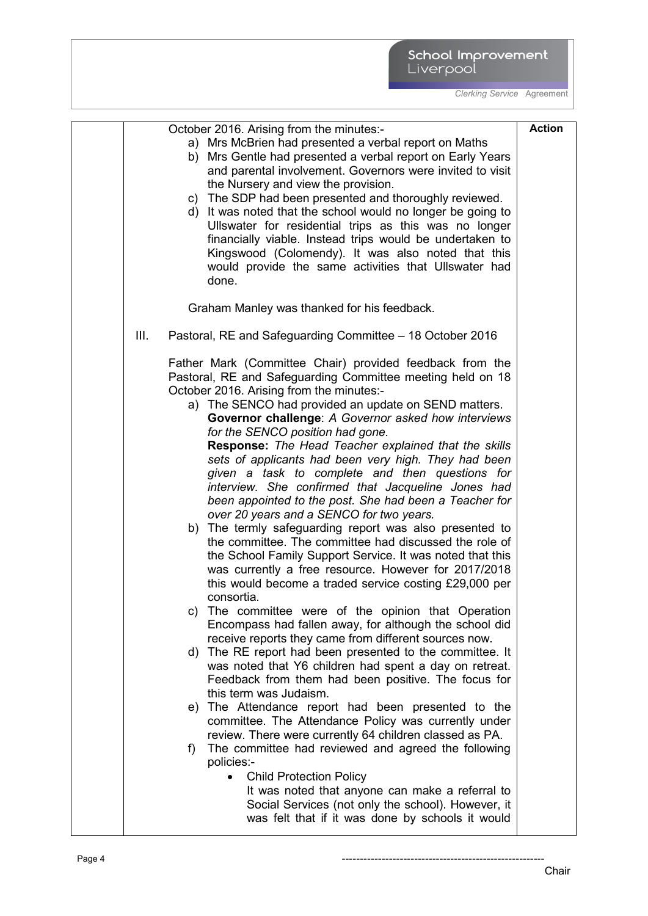|      | October 2016. Arising from the minutes:-                                                                | <b>Action</b> |
|------|---------------------------------------------------------------------------------------------------------|---------------|
|      | a) Mrs McBrien had presented a verbal report on Maths                                                   |               |
|      | b) Mrs Gentle had presented a verbal report on Early Years                                              |               |
|      | and parental involvement. Governors were invited to visit                                               |               |
|      | the Nursery and view the provision.                                                                     |               |
|      | c) The SDP had been presented and thoroughly reviewed.                                                  |               |
|      | d) It was noted that the school would no longer be going to                                             |               |
|      | Ullswater for residential trips as this was no longer                                                   |               |
|      | financially viable. Instead trips would be undertaken to                                                |               |
|      | Kingswood (Colomendy). It was also noted that this                                                      |               |
|      | would provide the same activities that Ullswater had                                                    |               |
|      | done.                                                                                                   |               |
|      |                                                                                                         |               |
|      | Graham Manley was thanked for his feedback.                                                             |               |
| III. | Pastoral, RE and Safeguarding Committee – 18 October 2016                                               |               |
|      | Father Mark (Committee Chair) provided feedback from the                                                |               |
|      | Pastoral, RE and Safeguarding Committee meeting held on 18                                              |               |
|      | October 2016. Arising from the minutes:-                                                                |               |
|      | a) The SENCO had provided an update on SEND matters.                                                    |               |
|      | Governor challenge: A Governor asked how interviews                                                     |               |
|      | for the SENCO position had gone.                                                                        |               |
|      | Response: The Head Teacher explained that the skills                                                    |               |
|      | sets of applicants had been very high. They had been<br>given a task to complete and then questions for |               |
|      | interview. She confirmed that Jacqueline Jones had                                                      |               |
|      | been appointed to the post. She had been a Teacher for                                                  |               |
|      | over 20 years and a SENCO for two years.                                                                |               |
|      | b) The termly safeguarding report was also presented to                                                 |               |
|      | the committee. The committee had discussed the role of                                                  |               |
|      | the School Family Support Service. It was noted that this                                               |               |
|      | was currently a free resource. However for 2017/2018                                                    |               |
|      | this would become a traded service costing £29,000 per                                                  |               |
|      | consortia.                                                                                              |               |
|      | The committee were of the opinion that Operation<br>C)                                                  |               |
|      | Encompass had fallen away, for although the school did                                                  |               |
|      | receive reports they came from different sources now.                                                   |               |
|      | d) The RE report had been presented to the committee. It                                                |               |
|      | was noted that Y6 children had spent a day on retreat.                                                  |               |
|      | Feedback from them had been positive. The focus for                                                     |               |
|      | this term was Judaism.                                                                                  |               |
|      | e) The Attendance report had been presented to the                                                      |               |
|      | committee. The Attendance Policy was currently under                                                    |               |
|      | review. There were currently 64 children classed as PA.                                                 |               |
|      | The committee had reviewed and agreed the following<br>f)<br>policies:-                                 |               |
|      | <b>Child Protection Policy</b><br>$\bullet$                                                             |               |
|      | It was noted that anyone can make a referral to                                                         |               |
|      | Social Services (not only the school). However, it                                                      |               |
|      | was felt that if it was done by schools it would                                                        |               |
|      |                                                                                                         |               |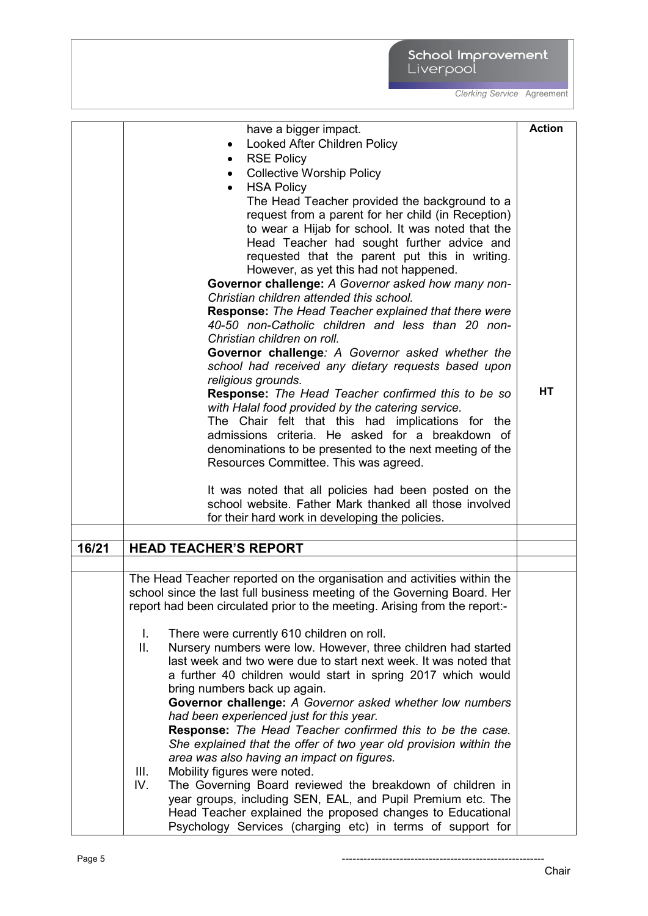|       | have a bigger impact.                                                      | <b>Action</b> |
|-------|----------------------------------------------------------------------------|---------------|
|       | Looked After Children Policy<br>٠                                          |               |
|       | <b>RSE Policy</b><br>$\bullet$                                             |               |
|       | <b>Collective Worship Policy</b><br>$\bullet$                              |               |
|       | <b>HSA Policy</b>                                                          |               |
|       | The Head Teacher provided the background to a                              |               |
|       | request from a parent for her child (in Reception)                         |               |
|       | to wear a Hijab for school. It was noted that the                          |               |
|       | Head Teacher had sought further advice and                                 |               |
|       | requested that the parent put this in writing.                             |               |
|       | However, as yet this had not happened.                                     |               |
|       | Governor challenge: A Governor asked how many non-                         |               |
|       | Christian children attended this school.                                   |               |
|       | <b>Response:</b> The Head Teacher explained that there were                |               |
|       | 40-50 non-Catholic children and less than 20 non-                          |               |
|       | Christian children on roll.                                                |               |
|       | Governor challenge: A Governor asked whether the                           |               |
|       | school had received any dietary requests based upon                        |               |
|       | religious grounds.                                                         |               |
|       | Response: The Head Teacher confirmed this to be so                         | HT            |
|       | with Halal food provided by the catering service.                          |               |
|       | The Chair felt that this had implications for the                          |               |
|       | admissions criteria. He asked for a breakdown of                           |               |
|       | denominations to be presented to the next meeting of the                   |               |
|       | Resources Committee. This was agreed.                                      |               |
|       |                                                                            |               |
|       | It was noted that all policies had been posted on the                      |               |
|       | school website. Father Mark thanked all those involved                     |               |
|       | for their hard work in developing the policies.                            |               |
|       |                                                                            |               |
| 16/21 | <b>HEAD TEACHER'S REPORT</b>                                               |               |
|       |                                                                            |               |
|       | The Head Teacher reported on the organisation and activities within the    |               |
|       | school since the last full business meeting of the Governing Board. Her    |               |
|       | report had been circulated prior to the meeting. Arising from the report:- |               |
|       |                                                                            |               |
|       | There were currently 610 children on roll.<br>L.                           |               |
|       | Nursery numbers were low. However, three children had started<br>Ш.        |               |
|       | last week and two were due to start next week. It was noted that           |               |
|       | a further 40 children would start in spring 2017 which would               |               |
|       | bring numbers back up again.                                               |               |
|       | Governor challenge: A Governor asked whether low numbers                   |               |
|       | had been experienced just for this year.                                   |               |
|       | Response: The Head Teacher confirmed this to be the case.                  |               |
|       | She explained that the offer of two year old provision within the          |               |
|       | area was also having an impact on figures.                                 |               |
|       | Mobility figures were noted.<br>III.                                       |               |
|       | IV.<br>The Governing Board reviewed the breakdown of children in           |               |
|       | year groups, including SEN, EAL, and Pupil Premium etc. The                |               |
|       | Head Teacher explained the proposed changes to Educational                 |               |
|       | Psychology Services (charging etc) in terms of support for                 |               |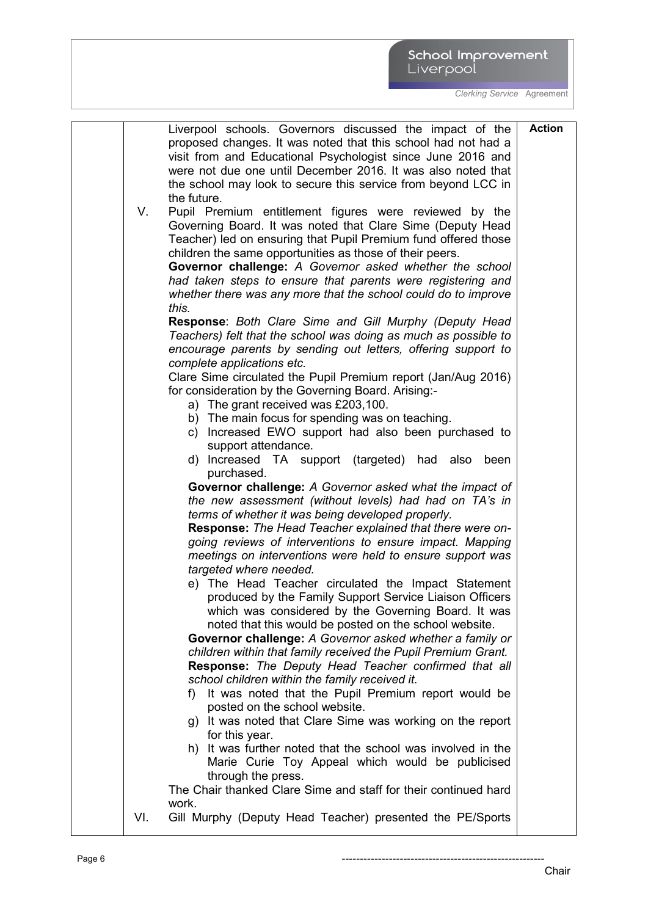|           | School Improvement |
|-----------|--------------------|
| Liverpool |                    |

|     | Liverpool schools. Governors discussed the impact of the<br>proposed changes. It was noted that this school had not had a<br>visit from and Educational Psychologist since June 2016 and<br>were not due one until December 2016. It was also noted that<br>the school may look to secure this service from beyond LCC in<br>the future. | <b>Action</b> |
|-----|------------------------------------------------------------------------------------------------------------------------------------------------------------------------------------------------------------------------------------------------------------------------------------------------------------------------------------------|---------------|
| V.  | Pupil Premium entitlement figures were reviewed by the<br>Governing Board. It was noted that Clare Sime (Deputy Head<br>Teacher) led on ensuring that Pupil Premium fund offered those<br>children the same opportunities as those of their peers.<br>Governor challenge: A Governor asked whether the school                            |               |
|     | had taken steps to ensure that parents were registering and<br>whether there was any more that the school could do to improve<br>this.                                                                                                                                                                                                   |               |
|     | <b>Response: Both Clare Sime and Gill Murphy (Deputy Head</b><br>Teachers) felt that the school was doing as much as possible to<br>encourage parents by sending out letters, offering support to<br>complete applications etc.                                                                                                          |               |
|     | Clare Sime circulated the Pupil Premium report (Jan/Aug 2016)<br>for consideration by the Governing Board. Arising:-<br>a) The grant received was £203,100.                                                                                                                                                                              |               |
|     | b) The main focus for spending was on teaching.<br>c) Increased EWO support had also been purchased to<br>support attendance.                                                                                                                                                                                                            |               |
|     | d) Increased TA support (targeted) had also<br>been<br>purchased.<br>Governor challenge: A Governor asked what the impact of                                                                                                                                                                                                             |               |
|     | the new assessment (without levels) had had on TA's in<br>terms of whether it was being developed properly.                                                                                                                                                                                                                              |               |
|     | Response: The Head Teacher explained that there were on-<br>going reviews of interventions to ensure impact. Mapping<br>meetings on interventions were held to ensure support was<br>targeted where needed.                                                                                                                              |               |
|     | e) The Head Teacher circulated the Impact Statement<br>produced by the Family Support Service Liaison Officers<br>which was considered by the Governing Board. It was                                                                                                                                                                    |               |
|     | noted that this would be posted on the school website.<br>Governor challenge: A Governor asked whether a family or<br>children within that family received the Pupil Premium Grant.<br>Response: The Deputy Head Teacher confirmed that all                                                                                              |               |
|     | school children within the family received it.<br>f) It was noted that the Pupil Premium report would be<br>posted on the school website.                                                                                                                                                                                                |               |
|     | g) It was noted that Clare Sime was working on the report<br>for this year.<br>h) It was further noted that the school was involved in the                                                                                                                                                                                               |               |
|     | Marie Curie Toy Appeal which would be publicised<br>through the press.<br>The Chair thanked Clare Sime and staff for their continued hard                                                                                                                                                                                                |               |
| VI. | work.<br>Gill Murphy (Deputy Head Teacher) presented the PE/Sports                                                                                                                                                                                                                                                                       |               |
|     |                                                                                                                                                                                                                                                                                                                                          |               |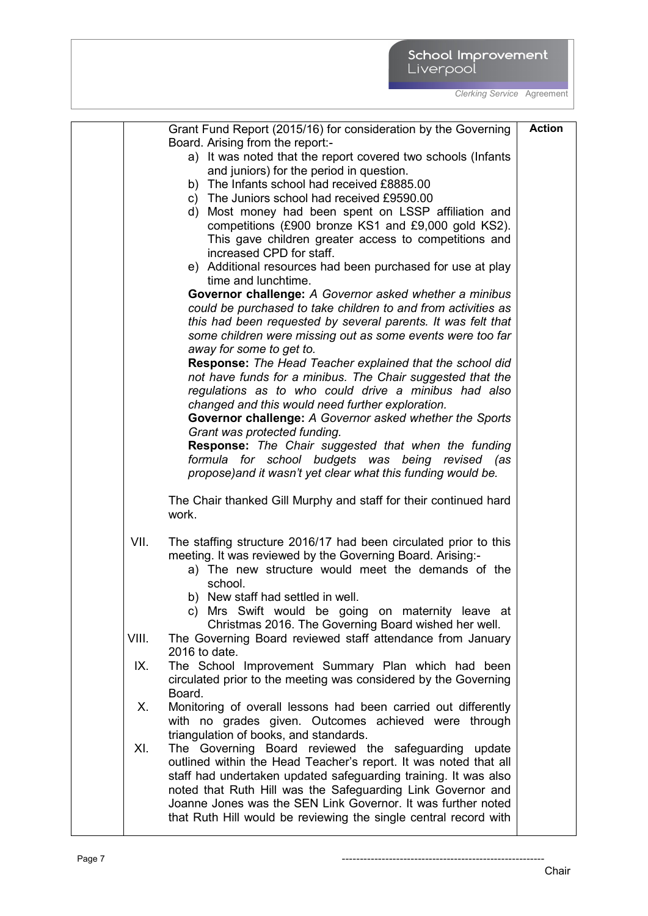| Grant Fund Report (2015/16) for consideration by the Governing           | <b>Action</b> |
|--------------------------------------------------------------------------|---------------|
| Board. Arising from the report:-                                         |               |
| a) It was noted that the report covered two schools (Infants             |               |
| and juniors) for the period in question.                                 |               |
| b) The Infants school had received £8885.00                              |               |
| c) The Juniors school had received £9590.00                              |               |
| d) Most money had been spent on LSSP affiliation and                     |               |
| competitions (£900 bronze KS1 and £9,000 gold KS2).                      |               |
| This gave children greater access to competitions and                    |               |
| increased CPD for staff.                                                 |               |
| e) Additional resources had been purchased for use at play               |               |
| time and lunchtime.                                                      |               |
| Governor challenge: A Governor asked whether a minibus                   |               |
| could be purchased to take children to and from activities as            |               |
| this had been requested by several parents. It was felt that             |               |
| some children were missing out as some events were too far               |               |
| away for some to get to.                                                 |               |
| Response: The Head Teacher explained that the school did                 |               |
| not have funds for a minibus. The Chair suggested that the               |               |
| regulations as to who could drive a minibus had also                     |               |
| changed and this would need further exploration.                         |               |
| Governor challenge: A Governor asked whether the Sports                  |               |
| Grant was protected funding.                                             |               |
| <b>Response:</b> The Chair suggested that when the funding               |               |
| formula for school budgets was being revised (as                         |               |
| propose) and it wasn't yet clear what this funding would be.             |               |
|                                                                          |               |
| The Chair thanked Gill Murphy and staff for their continued hard         |               |
| work.                                                                    |               |
| VII.<br>The staffing structure 2016/17 had been circulated prior to this |               |
| meeting. It was reviewed by the Governing Board. Arising:-               |               |
| a) The new structure would meet the demands of the                       |               |
| school.                                                                  |               |
| b) New staff had settled in well.                                        |               |
| c) Mrs Swift would be going on maternity leave at                        |               |
| Christmas 2016. The Governing Board wished her well.                     |               |
| VIII.<br>The Governing Board reviewed staff attendance from January      |               |
| 2016 to date.                                                            |               |
| The School Improvement Summary Plan which had been<br>IX.                |               |
| circulated prior to the meeting was considered by the Governing          |               |
| Board.                                                                   |               |
| Monitoring of overall lessons had been carried out differently<br>Х.     |               |
| with no grades given. Outcomes achieved were through                     |               |
| triangulation of books, and standards.                                   |               |
| XI.<br>The Governing Board reviewed the safeguarding update              |               |
| outlined within the Head Teacher's report. It was noted that all         |               |
| staff had undertaken updated safeguarding training. It was also          |               |
| noted that Ruth Hill was the Safeguarding Link Governor and              |               |
| Joanne Jones was the SEN Link Governor. It was further noted             |               |
| that Ruth Hill would be reviewing the single central record with         |               |
|                                                                          |               |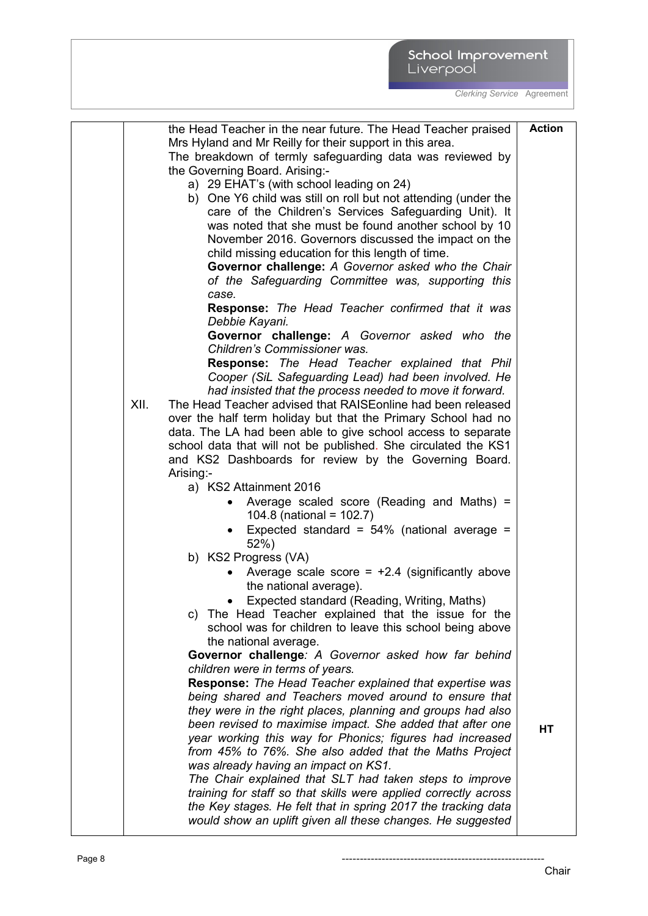|      | the Head Teacher in the near future. The Head Teacher praised                                                           | <b>Action</b> |
|------|-------------------------------------------------------------------------------------------------------------------------|---------------|
|      | Mrs Hyland and Mr Reilly for their support in this area.                                                                |               |
|      | The breakdown of termly safeguarding data was reviewed by                                                               |               |
|      | the Governing Board. Arising:-                                                                                          |               |
|      | a) 29 EHAT's (with school leading on 24)                                                                                |               |
|      | b) One Y6 child was still on roll but not attending (under the                                                          |               |
|      | care of the Children's Services Safeguarding Unit). It                                                                  |               |
|      | was noted that she must be found another school by 10                                                                   |               |
|      | November 2016. Governors discussed the impact on the                                                                    |               |
|      | child missing education for this length of time.                                                                        |               |
|      | Governor challenge: A Governor asked who the Chair<br>of the Safeguarding Committee was, supporting this                |               |
|      | case.                                                                                                                   |               |
|      | Response: The Head Teacher confirmed that it was                                                                        |               |
|      | Debbie Kayani.<br>Governor challenge: A Governor asked who the                                                          |               |
|      | Children's Commissioner was.                                                                                            |               |
|      | <b>Response:</b> The Head Teacher explained that Phil                                                                   |               |
|      | Cooper (SiL Safeguarding Lead) had been involved. He<br>had insisted that the process needed to move it forward.        |               |
| XII. | The Head Teacher advised that RAISEonline had been released                                                             |               |
|      | over the half term holiday but that the Primary School had no                                                           |               |
|      | data. The LA had been able to give school access to separate                                                            |               |
|      | school data that will not be published. She circulated the KS1                                                          |               |
|      | and KS2 Dashboards for review by the Governing Board.                                                                   |               |
|      | Arising:-                                                                                                               |               |
|      | a) KS2 Attainment 2016                                                                                                  |               |
|      | Average scaled score (Reading and Maths) =<br>104.8 (national = $102.7$ )                                               |               |
|      | Expected standard = $54\%$ (national average =                                                                          |               |
|      | 52%)                                                                                                                    |               |
|      | b) KS2 Progress (VA)                                                                                                    |               |
|      | Average scale score = $+2.4$ (significantly above<br>the national average).                                             |               |
|      | Expected standard (Reading, Writing, Maths)                                                                             |               |
|      | c) The Head Teacher explained that the issue for the                                                                    |               |
|      | school was for children to leave this school being above                                                                |               |
|      | the national average.                                                                                                   |               |
|      | Governor challenge: A Governor asked how far behind                                                                     |               |
|      | children were in terms of years.                                                                                        |               |
|      | <b>Response:</b> The Head Teacher explained that expertise was<br>being shared and Teachers moved around to ensure that |               |
|      | they were in the right places, planning and groups had also                                                             |               |
|      | been revised to maximise impact. She added that after one                                                               |               |
|      | year working this way for Phonics; figures had increased                                                                | HT            |
|      | from 45% to 76%. She also added that the Maths Project                                                                  |               |
|      | was already having an impact on KS1.                                                                                    |               |
|      | The Chair explained that SLT had taken steps to improve                                                                 |               |
|      | training for staff so that skills were applied correctly across                                                         |               |
|      | the Key stages. He felt that in spring 2017 the tracking data                                                           |               |
|      | would show an uplift given all these changes. He suggested                                                              |               |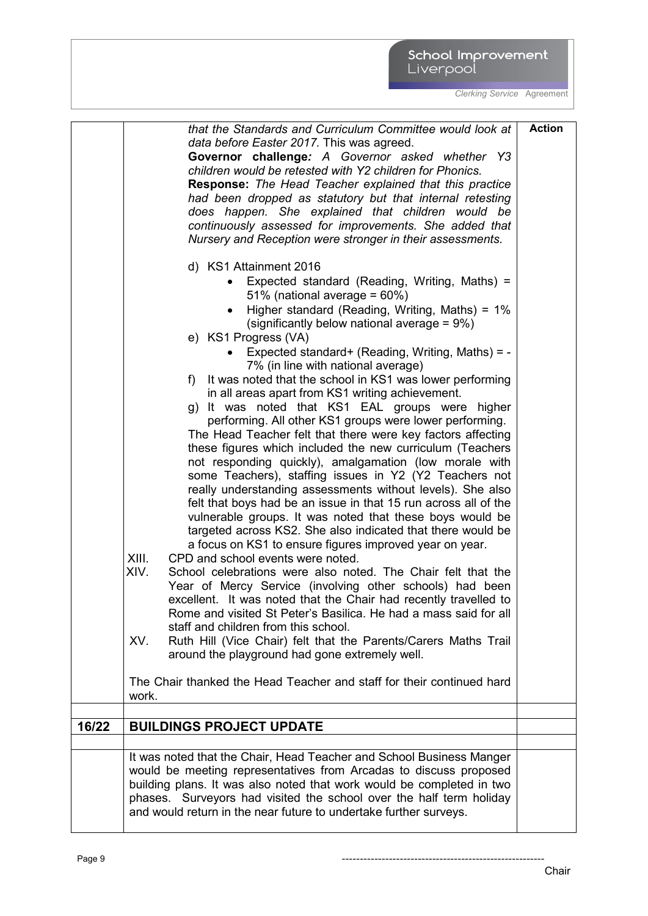|       | that the Standards and Curriculum Committee would look at<br>data before Easter 2017. This was agreed.<br>Governor challenge: A Governor asked whether Y3<br>children would be retested with Y2 children for Phonics.<br>Response: The Head Teacher explained that this practice<br>had been dropped as statutory but that internal retesting<br>does happen. She explained that children would be<br>continuously assessed for improvements. She added that<br>Nursery and Reception were stronger in their assessments.<br>d) KS1 Attainment 2016<br>Expected standard (Reading, Writing, Maths) =<br>51% (national average = $60\%$ )<br>Higher standard (Reading, Writing, Maths) = 1%<br>(significantly below national average = 9%)<br>e) KS1 Progress (VA)<br>Expected standard+ (Reading, Writing, Maths) = -<br>7% (in line with national average)<br>f) It was noted that the school in KS1 was lower performing<br>in all areas apart from KS1 writing achievement.<br>g) It was noted that KS1 EAL groups were higher<br>performing. All other KS1 groups were lower performing.<br>The Head Teacher felt that there were key factors affecting<br>these figures which included the new curriculum (Teachers<br>not responding quickly), amalgamation (low morale with<br>some Teachers), staffing issues in Y2 (Y2 Teachers not<br>really understanding assessments without levels). She also<br>felt that boys had be an issue in that 15 run across all of the<br>vulnerable groups. It was noted that these boys would be<br>targeted across KS2. She also indicated that there would be<br>a focus on KS1 to ensure figures improved year on year.<br>XIII.<br>CPD and school events were noted.<br>XIV.<br>School celebrations were also noted. The Chair felt that the<br>Year of Mercy Service (involving other schools) had been<br>excellent. It was noted that the Chair had recently travelled to<br>Rome and visited St Peter's Basilica. He had a mass said for all<br>staff and children from this school.<br>XV.<br>Ruth Hill (Vice Chair) felt that the Parents/Carers Maths Trail<br>around the playground had gone extremely well.<br>The Chair thanked the Head Teacher and staff for their continued hard | <b>Action</b> |
|-------|--------------------------------------------------------------------------------------------------------------------------------------------------------------------------------------------------------------------------------------------------------------------------------------------------------------------------------------------------------------------------------------------------------------------------------------------------------------------------------------------------------------------------------------------------------------------------------------------------------------------------------------------------------------------------------------------------------------------------------------------------------------------------------------------------------------------------------------------------------------------------------------------------------------------------------------------------------------------------------------------------------------------------------------------------------------------------------------------------------------------------------------------------------------------------------------------------------------------------------------------------------------------------------------------------------------------------------------------------------------------------------------------------------------------------------------------------------------------------------------------------------------------------------------------------------------------------------------------------------------------------------------------------------------------------------------------------------------------------------------------------------------------------------------------------------------------------------------------------------------------------------------------------------------------------------------------------------------------------------------------------------------------------------------------------------------------------------------------------------------------------------------------------------------------------------------------------------------------------------------------|---------------|
|       | work.                                                                                                                                                                                                                                                                                                                                                                                                                                                                                                                                                                                                                                                                                                                                                                                                                                                                                                                                                                                                                                                                                                                                                                                                                                                                                                                                                                                                                                                                                                                                                                                                                                                                                                                                                                                                                                                                                                                                                                                                                                                                                                                                                                                                                                      |               |
| 16/22 | <b>BUILDINGS PROJECT UPDATE</b>                                                                                                                                                                                                                                                                                                                                                                                                                                                                                                                                                                                                                                                                                                                                                                                                                                                                                                                                                                                                                                                                                                                                                                                                                                                                                                                                                                                                                                                                                                                                                                                                                                                                                                                                                                                                                                                                                                                                                                                                                                                                                                                                                                                                            |               |
|       | It was noted that the Chair, Head Teacher and School Business Manger                                                                                                                                                                                                                                                                                                                                                                                                                                                                                                                                                                                                                                                                                                                                                                                                                                                                                                                                                                                                                                                                                                                                                                                                                                                                                                                                                                                                                                                                                                                                                                                                                                                                                                                                                                                                                                                                                                                                                                                                                                                                                                                                                                       |               |
|       | would be meeting representatives from Arcadas to discuss proposed<br>building plans. It was also noted that work would be completed in two<br>phases. Surveyors had visited the school over the half term holiday<br>and would return in the near future to undertake further surveys.                                                                                                                                                                                                                                                                                                                                                                                                                                                                                                                                                                                                                                                                                                                                                                                                                                                                                                                                                                                                                                                                                                                                                                                                                                                                                                                                                                                                                                                                                                                                                                                                                                                                                                                                                                                                                                                                                                                                                     |               |